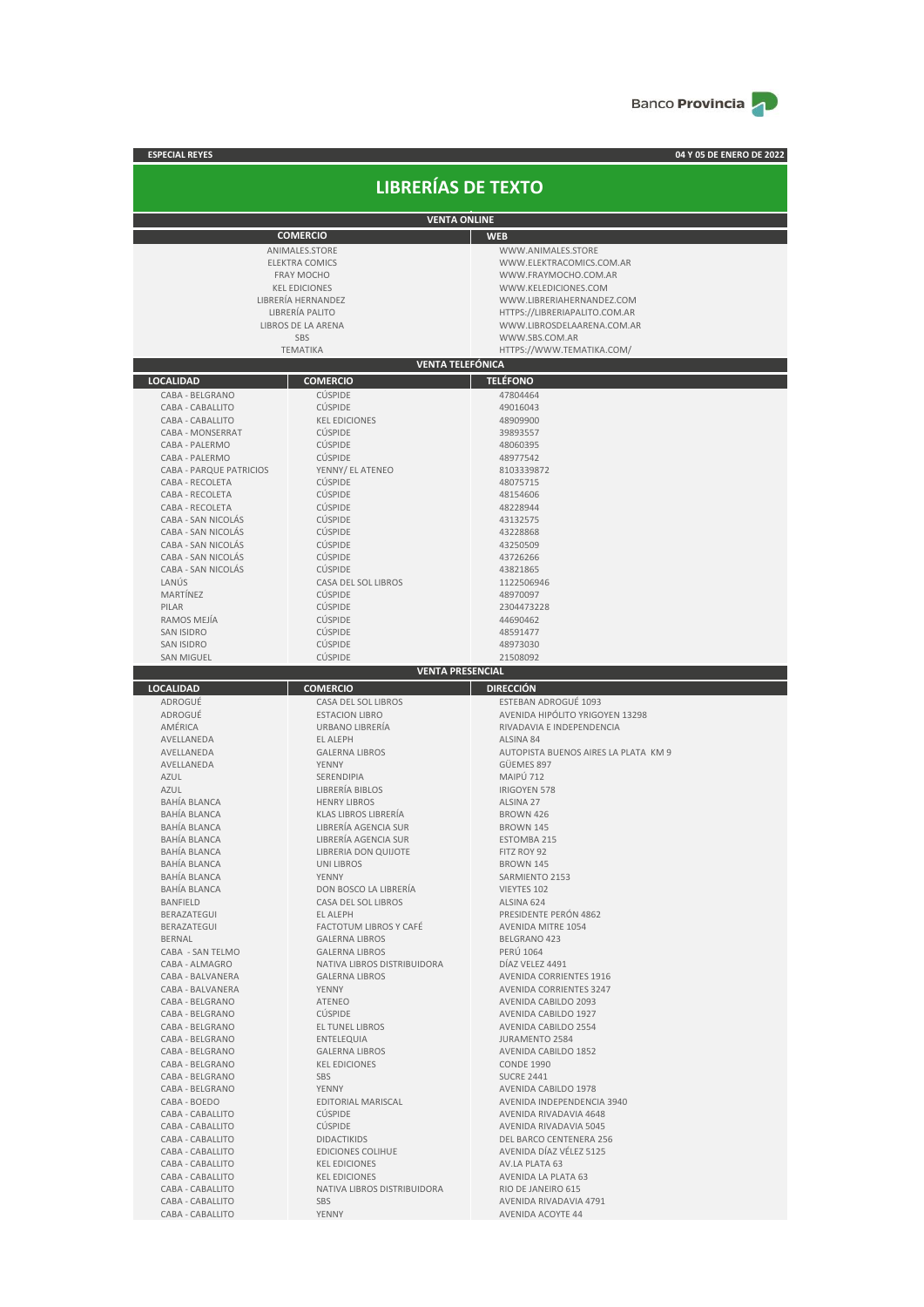

| <b>ESPECIAL REYES</b>                |                                                 | 04 Y 05 DE ENERO DE 2022                                   |  |  |  |
|--------------------------------------|-------------------------------------------------|------------------------------------------------------------|--|--|--|
|                                      | <b>LIBRERÍAS DE TEXTO</b>                       |                                                            |  |  |  |
|                                      |                                                 |                                                            |  |  |  |
| <b>VENTA ONLINE</b>                  |                                                 |                                                            |  |  |  |
|                                      | <b>COMERCIO</b>                                 | <b>WEB</b>                                                 |  |  |  |
|                                      | ANIMALES.STORE                                  | WWW.ANIMALES.STORE                                         |  |  |  |
|                                      | <b>ELEKTRA COMICS</b>                           | WWW.ELEKTRACOMICS.COM.AR                                   |  |  |  |
|                                      | <b>FRAY MOCHO</b>                               | WWW.FRAYMOCHO.COM.AR                                       |  |  |  |
|                                      | <b>KEL EDICIONES</b><br>LIBRERÍA HERNANDEZ      | WWW.KELEDICIONES.COM                                       |  |  |  |
|                                      | LIBRERÍA PALITO                                 | WWW.LIBRERIAHERNANDEZ.COM<br>HTTPS://LIBRERIAPALITO.COM.AR |  |  |  |
|                                      | <b>LIBROS DE LA ARENA</b>                       | WWW.LIBROSDELAARENA.COM.AR                                 |  |  |  |
|                                      | <b>SBS</b>                                      | WWW.SBS.COM.AR                                             |  |  |  |
|                                      | <b>TEMATIKA</b>                                 | HTTPS://WWW.TEMATIKA.COM/                                  |  |  |  |
|                                      | <b>VENTA TELEFÓNICA</b>                         |                                                            |  |  |  |
| <b>LOCALIDAD</b>                     | <b>COMERCIO</b>                                 | <b>TELÉFONO</b>                                            |  |  |  |
| CABA - BELGRANO                      | <b>CÚSPIDE</b>                                  | 47804464                                                   |  |  |  |
| CABA - CABALLITO                     | <b>CÚSPIDE</b>                                  | 49016043                                                   |  |  |  |
| CABA - CABALLITO                     | <b>KEL EDICIONES</b>                            | 48909900                                                   |  |  |  |
| <b>CABA - MONSERRAT</b>              | <b>CÚSPIDE</b>                                  | 39893557                                                   |  |  |  |
| CABA - PALERMO                       | <b>CÚSPIDE</b>                                  | 48060395                                                   |  |  |  |
| CABA - PALERMO                       | <b>CÚSPIDE</b>                                  | 48977542                                                   |  |  |  |
| <b>CABA - PARQUE PATRICIOS</b>       | YENNY/ EL ATENEO                                | 8103339872                                                 |  |  |  |
| CABA - RECOLETA<br>CABA - RECOLETA   | <b>CÚSPIDE</b><br><b>CÚSPIDE</b>                | 48075715<br>48154606                                       |  |  |  |
| CABA - RECOLETA                      | <b>CÚSPIDE</b>                                  | 48228944                                                   |  |  |  |
| CABA - SAN NICOLÁS                   | <b>CÚSPIDE</b>                                  | 43132575                                                   |  |  |  |
| CABA - SAN NICOLÁS                   | <b>CÚSPIDE</b>                                  | 43228868                                                   |  |  |  |
| CABA - SAN NICOLÁS                   | <b>CÚSPIDE</b>                                  | 43250509                                                   |  |  |  |
| CABA - SAN NICOLAS                   | <b>CÚSPIDE</b>                                  | 43726266                                                   |  |  |  |
| CABA - SAN NICOLÁS                   | <b>CÚSPIDE</b>                                  | 43821865                                                   |  |  |  |
| LANÚS                                | CASA DEL SOL LIBROS                             | 1122506946                                                 |  |  |  |
| MARTÍNEZ                             | <b>CÚSPIDE</b>                                  | 48970097                                                   |  |  |  |
| PILAR<br>RAMOS MEJÍA                 | <b>CÚSPIDE</b><br><b>CÚSPIDE</b>                | 2304473228                                                 |  |  |  |
| <b>SAN ISIDRO</b>                    | <b>CÚSPIDE</b>                                  | 44690462<br>48591477                                       |  |  |  |
| <b>SAN ISIDRO</b>                    | <b>CÚSPIDE</b>                                  | 48973030                                                   |  |  |  |
| <b>SAN MIGUEL</b>                    | <b>CÚSPIDE</b>                                  | 21508092                                                   |  |  |  |
|                                      | <b>VENTA PRESENCIAL</b>                         |                                                            |  |  |  |
| <b>LOCALIDAD</b>                     | <b>COMERCIO</b>                                 | <b>DIRECCIÓN</b>                                           |  |  |  |
| ADROGUÉ                              | <b>CASA DEL SOL LIBROS</b>                      | ESTEBAN ADROGUÉ 1093                                       |  |  |  |
|                                      |                                                 |                                                            |  |  |  |
| ADROGUÉ                              | <b>ESTACION LIBRO</b>                           | AVENIDA HIPÓLITO YRIGOYEN 13298                            |  |  |  |
| AMÉRICA                              | URBANO LIBRERÍA                                 | RIVADAVIA E INDEPENDENCIA                                  |  |  |  |
| AVELLANEDA                           | <b>EL ALEPH</b>                                 | ALSINA 84                                                  |  |  |  |
| AVELLANEDA                           | <b>GALERNA LIBROS</b>                           | AUTOPISTA BUENOS AIRES LA PLATA KM 9                       |  |  |  |
| AVELLANEDA                           | YENNY                                           | GÜEMES 897                                                 |  |  |  |
| <b>AZUL</b>                          | SERENDIPIA                                      | MAIPÚ 712                                                  |  |  |  |
| <b>AZUL</b>                          | LIBRERÍA BIBLOS                                 | <b>IRIGOYEN 578</b>                                        |  |  |  |
| <b>BAHÍA BLANCA</b><br>BAHÍA BLANCA  | <b>HENRY LIBROS</b><br>KLAS LIBROS LIBRERÍA     | ALSINA 27                                                  |  |  |  |
| <b>BAHÍA BLANCA</b>                  | LIBRERÍA AGENCIA SUR                            | BROWN 426<br>BROWN 145                                     |  |  |  |
| <b>BAHIA BLANCA</b>                  | LIBRERIA AGENCIA SUR                            | ESTOMBA 215                                                |  |  |  |
| <b>BAHÍA BLANCA</b>                  | LIBRERIA DON QUIJOTE                            | FITZ ROY 92                                                |  |  |  |
| BAHÍA BLANCA                         | UNI LIBROS                                      | <b>BROWN 145</b>                                           |  |  |  |
| BAHÍA BLANCA                         | <b>YENNY</b>                                    | SARMIENTO 2153                                             |  |  |  |
| <b>BAHÍA BLANCA</b>                  | DON BOSCO LA LIBRERÍA                           | VIEYTES 102                                                |  |  |  |
| <b>BANFIELD</b>                      | CASA DEL SOL LIBROS                             | ALSINA 624                                                 |  |  |  |
| BERAZATEGUI                          | EL ALEPH                                        | PRESIDENTE PERÓN 4862                                      |  |  |  |
| BERAZATEGUI<br>BERNAL                | FACTOTUM LIBROS Y CAFÉ<br><b>GALERNA LIBROS</b> | <b>AVENIDA MITRE 1054</b><br>BELGRANO 423                  |  |  |  |
| CABA - SAN TELMO                     | <b>GALERNA LIBROS</b>                           | PERÚ 1064                                                  |  |  |  |
| CABA - ALMAGRO                       | NATIVA LIBROS DISTRIBUIDORA                     | DÍAZ VELEZ 4491                                            |  |  |  |
| CABA - BALVANERA                     | <b>GALERNA LIBROS</b>                           | <b>AVENIDA CORRIENTES 1916</b>                             |  |  |  |
| CABA - BALVANERA                     | YENNY                                           | <b>AVENIDA CORRIENTES 3247</b>                             |  |  |  |
| CABA - BELGRANO                      | ATENEO                                          | AVENIDA CABILDO 2093                                       |  |  |  |
| CABA - BELGRANO                      | <b>CÚSPIDE</b>                                  | AVENIDA CABILDO 1927                                       |  |  |  |
| CABA - BELGRANO                      | <b>EL TUNEL LIBROS</b>                          | AVENIDA CABILDO 2554                                       |  |  |  |
| CABA - BELGRANO<br>CABA - BELGRANO   | ENTELEQUIA<br><b>GALERNA LIBROS</b>             | JURAMENTO 2584<br>AVENIDA CABILDO 1852                     |  |  |  |
| CABA - BELGRANO                      | <b>KEL EDICIONES</b>                            | <b>CONDE 1990</b>                                          |  |  |  |
| CABA - BELGRANO                      | SBS                                             | <b>SUCRE 2441</b>                                          |  |  |  |
| CABA - BELGRANO                      | YENNY                                           | AVENIDA CABILDO 1978                                       |  |  |  |
| CABA - BOEDO                         | EDITORIAL MARISCAL                              | AVENIDA INDEPENDENCIA 3940                                 |  |  |  |
| CABA - CABALLITO                     | <b>CÚSPIDE</b>                                  | AVENIDA RIVADAVIA 4648                                     |  |  |  |
| CABA - CABALLITO                     | <b>CÚSPIDE</b>                                  | AVENIDA RIVADAVIA 5045                                     |  |  |  |
| CABA - CABALLITO                     | <b>DIDACTIKIDS</b>                              | DEL BARCO CENTENERA 256                                    |  |  |  |
| CABA - CABALLITO                     | <b>EDICIONES COLIHUE</b>                        | AVENIDA DÍAZ VÉLEZ 5125                                    |  |  |  |
| CABA - CABALLITO<br>CABA - CABALLITO | <b>KEL EDICIONES</b><br><b>KEL EDICIONES</b>    | AV.LA PLATA 63<br>AVENIDA LA PLATA 63                      |  |  |  |

CABA - CABALLITO SBS SES AVENIDA RIVADAVIA 4791 CABA - CABALLITO YENNY AVENIDA ACOYTE 44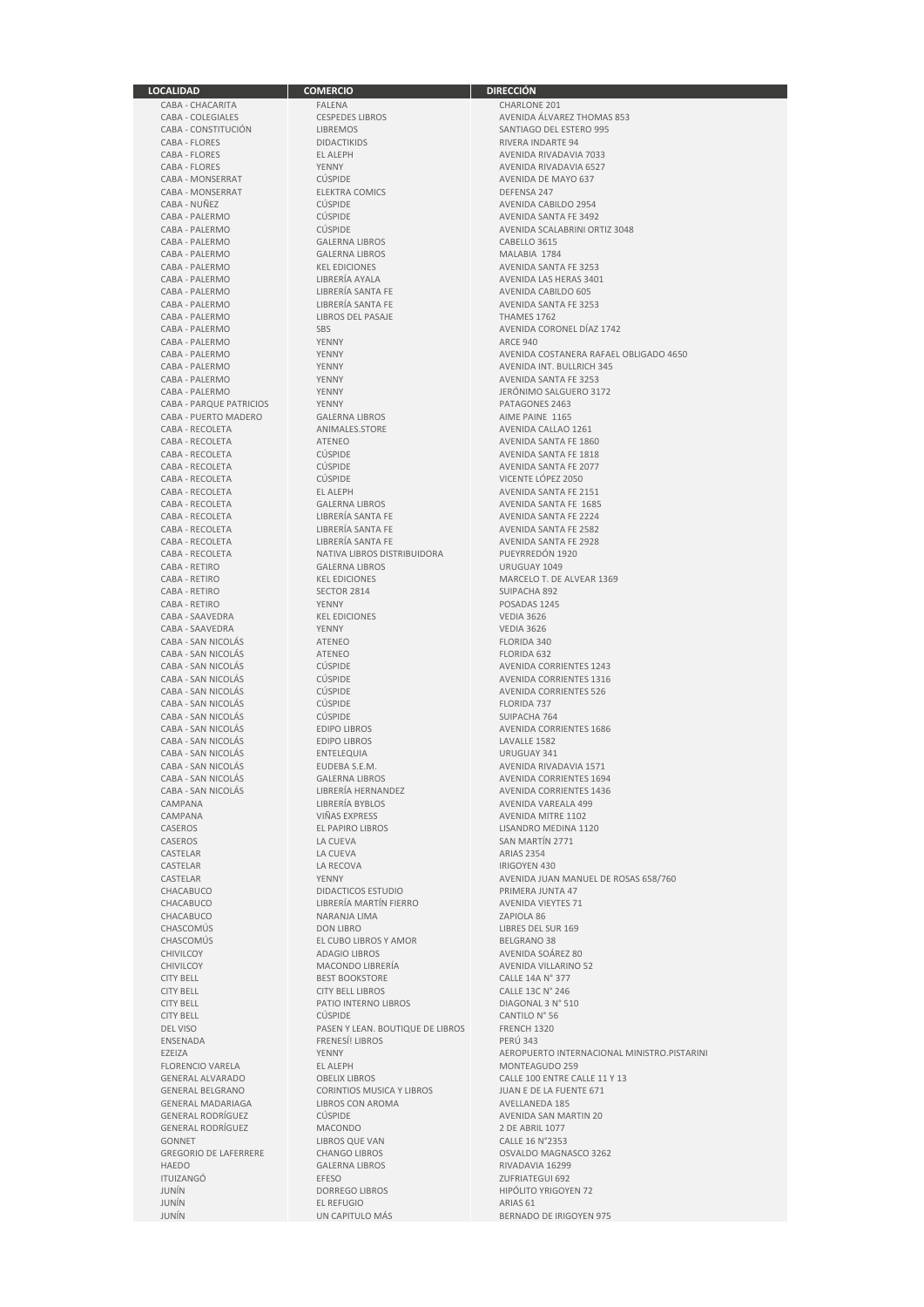CABA - MONSERRAT ELEKTRA<br>CABA - NUÑEZ COMICS DEFENSA 247 CABA - PALERMO LIBROS DEL PASAJE<br>CABA - PALERMO SRS CABA - PUERTO MADERO GALERNA LIBROS<br>CABA - RECOLETA ANIMALES.STORE CABA - RETIRO GALERNA LIBROS CARA - RETIRO GALERNA LIBROS CARA - RETIRO CABA - SAN NICOLÁS CABA - SAN NICOLÁS<br>CABA - SAN NICOLÁS EDIPO LIBROS CABA - SAN NICOLÁS ENTELEQUIA<br>CABA - SAN NICOLÁS ELIDERA S E M CHACABUCO NARANJA LIMA<br>CHASCOMÚS DON LIBRO CHASCOMÚS EL CUBO LIBROS Y AMOR<br>CHIVILCOY ADAGIO LIBROS CITY BELL PATIO INTERNO LIBROS CITY BELL PATIO INTERNO LIBROS ENSENADA FRENESÍ! LIBROS PERÍODES EN ENTRENESÍ EL ENTRENESÍ EL ENTRENESÍ EL ENTRENESÍ EL ENTRENESÍ EL ENTRENES<br>EL ESTETZA FLORENCIO VARELA EL ALEPH EL ALEPH MONTEAGULARE EL ALEPH GENERAL MADARIAGA LIBROS CON AROMA AVELLANEDA 185 GONNET LIBROS QUE VAN CALLE EN LA LIBROS QUE VAN CHANGO LIBROS JUNÍN EL REFUGIO DE LA BELA DE LA BELA DE LA BELA DE LA BELA DE LA BELA DE LA BELA DE LA BELA DE LA BELA DE LA<br>SI ANNO 1918 EL REFUGIO DE LA BELA DE LA BELA DE LA BELA DE LA BELA DE LA BELA DE LA BELA DE LA BELA DE LA BEL

**LOCALIDAD COMERCIO DIRECCIÓN** CABA - CHACARITA FALENA FALENA CHARLONE 201<br>CABA - COLEGIALES CESPEDES LIBROS AVENIDA ÁLVAI CABA - COLEGIALES CESPEDES LIBROS AVENIDA ÁLVAREZ THOMAS 853 CABA - CONSTITUCIÓN LIBREMOS SANTIAGO DEL ESTERO 995 CABA - FLORES EL ALEPH EL ALEPH AVENIDA RIVADAVIA 7033<br>CABA - FLORES YENNY YENNY AVENIDA RIVADAVIA 6527 TENNY TENNY AVENIDA RIVADAVIA 6527<br>CLASPIDE AVENIDA DE MAYO 637 CABA - MONSERRAT CÚSPIDE CÚSPIDE COMICS<br>CABA - MONSERRAT CABA - ELEKTRA COMICS CABA - DEFENSA 247 CABA - NUÑEZ<br>CABA - PALERMO CÚSPIDE CÓSPIDE AVENIDA CABILDO 2954<br>CABA - PALERMO CÚSPIDE CÚSPIDE AVENIDA SANTA EF 3493 CABA - PALERMO CÚSPIDE CÚSPIDE AVENIDA SANTA FE 3492<br>CABA - PALERMO CÚSPIDE CÚSPIDE AVENIDA SCALABRINI OR CABA - PALERMO GALERNA LIBROS CABELLO 3615 CABA - PALERMO GALERNA LIBROS MALABIA 1784 CABA - PALERMO KEL EDICIONES AVENIDA SANTA FE 3253 CABA - PALERMO LIBRERÍA AYALA AVENIDA LAS HERAS 3401 CABA - PALERMO LIBRERÍA SANTA FE AVENIDA CABILDO 605<br>CABA - PALERMO LIBRERÍA SANTA FE APROVIDA SANTA FE 32 CABA - PALERMO LIBRERÍA SANTA FE AVENIDA SANTA FE AVENIDA SANTA FE ASSALE AND A LIBROS DEL PASAJE THAMES 1762 CABA - PALERMO YENNY ARCE 940 CABA - PALERMO YENNY AVENIDA INT. BULLRICH 345 CABA - PALERMO YENNY AVENIDA SANTA FE 3253 YENNY CABA - PALERMO SALGUERO 3172<br>CABA - PALERMO DE PATAGONES 2463 CABA - PARQUE PATRICIOS YENNY YENNY PATAGONES 2463<br>CABA - PIJERTO MADERO GALERNA LIBROS AND PAIME PAINE 1165 CABA - RECOLETA ANIMALES.STORE AVENIDA CALLAO 1261 CABA - RECOLETA ATENEO AVENIDA SANTA FE 1860 CABA - RECOLETA CÚSPIDE AVENIDA SANTA FE 1818 CABA - RECOLETA CÚSPIDE AVENIDA SANTA FE 2077 CABA - RECOLETA CÚSPIDE VICENTE LÓPEZ 2050 CABA - RECOLETA EL ALEPH AVENIDA SANTA FE 2151 CABA - RECOLETA GALERNA LIBROS AVENIDA SANTA FE 1685 CABA - RECOLETA LIBRERÍA SANTA FE AVENIDA SANTA FE 2582 CABA - RECOLETA LIBRERÍA SANTA FE LIBRERÍA SANTA FE AVENIDA SANTA FE 2928<br>CABA - RECOLETA NATIVA LIBROS DISTRIBUIDORA PUEYRREDÓN 1920 CABA - RECOLETA NATIVA LIBROS DISTRIBUIDORA PUEYRREDÓN 1920 CABA - RETIRO KEL EDICIONES MARCELO T. DE ALVEAR 1369<br>CABA - RETIRO SECTOR 2814 SI UPACHA 892 CABA - RETIRO SECTOR 2814 SUIPACHA 892 CABA - RETIRO YENNY POSADAS 1245 CABA - SAAVEDRA KEL EDICIONES VEDIA 3626 CABA - SAAVEDRA YENNY VEDIA 3626 CABA - SAN NICOLÁS ATENEO ATENEO ELORIDA 340<br>CABA - SAN NICOLÁS ATENEO ATENEO ELORIDA 632 CABA - SAN NICOLÁS CÚSPIDE AVENIDA CORRIENTES 1243<br>CABA - SAN NICOLÁS CÚSPIDE CABA - SAN NICOLÁS CÚSPIDE AVENIDA CORRIENTES 1316 CABA - SAN NICOLÁS CÚSPIDE AVENIDA CORRIENTES 1316 CÚSPIDE AVENIDA CORRIENTES 526<br>CLÍSPIDE EL CORIDA 737 CABA - SAN NICOLÁS CÚSPIDE FLORIDA 737 EDIPO LIBROS AVENIDA CORRIENTES 1686<br>EDIPO LIBROS LAVALLE 1582 CABA - SAN NICOLÁS EDIPO LIBROS LAVALLE 1582 CABA - SAN NICOLÁS EUDEBA S.E.M. AVENIDA RIVADAVIA 1571<br>CABA - SAN NICOLÁS GALERNA LIBROS AVENIDA CORRIENTES 1694 CABA - SAN NICOLÁS GALERNA LIBROS AVENIDA CORRIENTES 1694<br>CABA - SAN NICOLÁS CABA - LIBRERÍA HERNANDEZ A AVENIDA CORRIENTES 1436 CABA - SAN NICOLÁS LIBRERÍA HERNANDEZ AVENIDA CORRIENTES 1436 CAMPANA LIBRERÍA BYBLOS AVENIDA VAREALA 499<br>CAMPANA CAMPANA VIÑAS EXPRESS AVENIDA MITRE 1102 CAMPANA VIÑAS EXPRESS AVENIDA MITRE 1102 CASEROS EL PAPIRO LIBROS EL PAPIRO LIBROS LISANDRO MEDINA 1120<br>CASEROS LA CUEVA LA CUEVA SAN MARTÍN 2771 CASEROS LA CUEVA CASEROS LA CUEVA CASEROS SAN MARTÍN 2771<br>CASTELAR LA CIEVA LA CUEVA ARIAS 2354 CASTELAR LA CUEVA ARIAS 2354 CASTELAR LA RECOVA CASTELAR LA RECOVA CHACABUCO DIDACTICOS ESTUDIO PRIMERA JUNTA 47 CHACABUCO LIBRERÍA MARTÍN FIERRO AVENIDA VIENIDA VIENTA CHACABUCO NARANJA LIMA CHACABUCO CHASCOMÚS DON LIBRO LIBRES DEL SUR 169 CHIVILCOY ADAGIO LIBROS AVENIDA SOÁREZ 80 CHIVILCOY **MACONDO LIBRERÍA** AVENIDA VILLARINO 52<br>CITY RELI EST ROOKSTORE CALLE 14A Nº 377 CITY BELL BEST BOOKSTORE CALLE 14A N° 377<br>CITY RELI CITY RELI LIBROS CALLE 13C N° 246 CITY BELL CITY BELL LIBROS CALLE 13C N° 246<br>CITY BELL CITY BELL CITY BELL CITY BELL CITY BELL CITY BELL CITY BELL CUSPIDE CÚSPIDE CONTILO N° 56<br>DEL VISO PASEN Y LEAN. BOUTIQUE DE LIBROS FRENCH 1320 DEL VISO PASEN Y LEAN. BOUTIQUE DE LIBROS FRENCH 1320 GENERAL ALVARADO OBELIX LIBROS CALLE 100 ENTRE CALLE 11 Y 13 CORINTIOS MUSICA Y LIBROS GANAL BELGANO CORINTIAL BELGANO CON AROMA CÚSPIDE AVENIDA SAN MARTIN 20<br>MACONDO 2 DE ABRIL 1077 GENERAL RODRÍGUEZ MACONDO 2 DE ABRIL 1077<br>GONNET LIBROS OUE VAN CALLE 16 N°2353 HAEDO GALERNA LIBROS RIVADAVIA 16299 ITUIZANGÓ EFESO ZUFRIATEGUI 692 JUNÍN DORREGO LIBROS HIPÓLITO YRIGOYEN 72

## RIVERA INDARTE 94 AVENIDA SCALABRINI ORTIZ 3048 AVENIDA CORONEL DÍAZ 1742 CABA - PALERMO YENNY AVENIDA COSTANERA RAFAEL OBLIGADO 4650 AVENIDA SANTA EE 2224 CASTELAR YENNY YENNY TERMINA AVENIDA JUAN MANUEL DE ROSAS 658/760<br>CHACABLICO DIDACTICOS ESTILIDIO PRIMERA ILINTA 47 EXEMPLE THE RESERVE AND A AEROPUERTO INTERNACIONAL MINISTRO.PISTARINI<br>EL ALEPH OSVALDO MAGNASCO 3262 BERNADO DE IRIGOYEN 975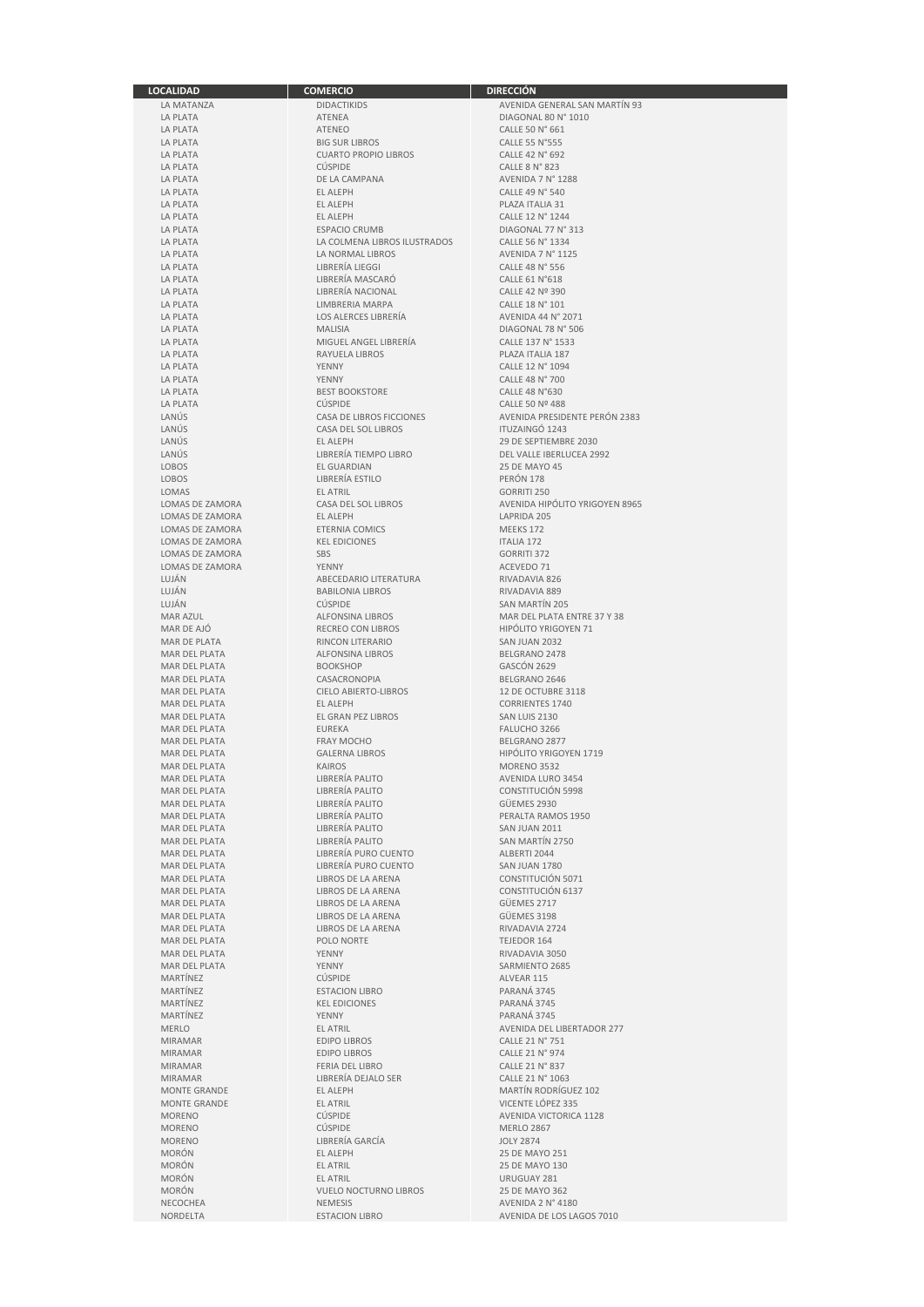| <b>LOCALIDAD</b>       | <b>COMERCIO</b>                 | <b>DIRECCIÓN</b>               |
|------------------------|---------------------------------|--------------------------------|
| LA MATANZA             | <b>DIDACTIKIDS</b>              | AVENIDA GENERAL SAN MARTÍN 93  |
| LA PLATA               | ATENEA                          | DIAGONAL 80 N° 1010            |
| LA PLATA               | <b>ATENEO</b>                   | CALLE 50 N° 661                |
| LA PLATA               | <b>BIG SUR LIBROS</b>           | CALLE 55 N°555                 |
|                        | <b>CUARTO PROPIO LIBROS</b>     | CALLE 42 N° 692                |
| LA PLATA               |                                 |                                |
| LA PLATA               | <b>CÚSPIDE</b>                  | <b>CALLE 8 N° 823</b>          |
| LA PLATA               | DE LA CAMPANA                   | AVENIDA 7 N° 1288              |
| LA PLATA               | <b>EL ALEPH</b>                 | CALLE 49 N° 540                |
| LA PLATA               | EL ALEPH                        | PLAZA ITALIA 31                |
| LA PLATA               | EL ALEPH                        | CALLE 12 N° 1244               |
| LA PLATA               | <b>ESPACIO CRUMB</b>            | DIAGONAL 77 N° 313             |
| LA PLATA               | LA COLMENA LIBROS ILUSTRADOS    | CALLE 56 N° 1334               |
| <b>LA PLATA</b>        | LA NORMAL LIBROS                | AVENIDA 7 N° 1125              |
| LA PLATA               | LIBRERÍA LIEGGI                 | CALLE 48 N° 556                |
|                        | LIBRERÍA MASCARÓ                |                                |
| LA PLATA               |                                 | <b>CALLE 61 N°618</b>          |
| LA PLATA               | LIBRERÍA NACIONAL               | CALLE 42 Nº 390                |
| <b>LA PLATA</b>        | LIMBRERIA MARPA                 | CALLE 18 N° 101                |
| LA PLATA               | LOS ALERCES LIBRERÍA            | AVENIDA 44 N° 2071             |
| LA PLATA               | <b>MALISIA</b>                  | DIAGONAL 78 N° 506             |
| LA PLATA               | MIGUEL ANGEL LIBRERÍA           | CALLE 137 N° 1533              |
| LA PLATA               | RAYUELA LIBROS                  | PLAZA ITALIA 187               |
| LA PLATA               | <b>YENNY</b>                    | CALLE 12 N° 1094               |
| LA PLATA               | YENNY                           | CALLE 48 N° 700                |
| LA PLATA               | <b>BEST BOOKSTORE</b>           | <b>CALLE 48 N°630</b>          |
|                        |                                 |                                |
| LA PLATA               | <b>CÚSPIDE</b>                  | CALLE 50 Nº 488                |
| LANÚS                  | <b>CASA DE LIBROS FICCIONES</b> | AVENIDA PRESIDENTE PERÓN 2383  |
| LANUS                  | CASA DEL SOL LIBROS             | <b>ITUZAINGÓ 1243</b>          |
| LANÚS                  | EL ALEPH                        | 29 DE SEPTIEMBRE 2030          |
| LANÚS                  | LIBRERIA TIEMPO LIBRO           | DEL VALLE IBERLUCEA 2992       |
| LOBOS                  | <b>EL GUARDIAN</b>              | <b>25 DE MAYO 45</b>           |
| LOBOS                  | LIBRERÍA ESTILO                 | PERÓN 178                      |
| LOMAS                  | <b>EL ATRIL</b>                 | <b>GORRITI 250</b>             |
| <b>LOMAS DE ZAMORA</b> |                                 |                                |
|                        | CASA DEL SOL LIBROS             | AVENIDA HIPÓLITO YRIGOYEN 8965 |
| LOMAS DE ZAMORA        | EL ALEPH                        | LAPRIDA 205                    |
| <b>LOMAS DE ZAMORA</b> | ETERNIA COMICS                  | MEEKS 172                      |
| LOMAS DE ZAMORA        | <b>KEL EDICIONES</b>            | <b>ITALIA 172</b>              |
| LOMAS DE ZAMORA        | SBS                             | <b>GORRITI 372</b>             |
| LOMAS DE ZAMORA        | YENNY                           | ACEVEDO 71                     |
| LUJÁN                  | ABECEDARIO LITERATURA           | RIVADAVIA 826                  |
| LUJÁN                  | <b>BABILONIA LIBROS</b>         | RIVADAVIA 889                  |
| LUJÁN                  | <b>CÚSPIDE</b>                  |                                |
|                        |                                 | SAN MARTIN 205                 |
| <b>MAR AZUL</b>        | <b>ALFONSINA LIBROS</b>         | MAR DEL PLATA ENTRE 37 Y 38    |
| MAR DE AJO             | <b>RECREO CON LIBROS</b>        | <b>HIPOLITO YRIGOYEN 71</b>    |
| MAR DE PLATA           | RINCON LITERARIO                | SAN JUAN 2032                  |
| MAR DEL PLATA          | <b>ALFONSINA LIBROS</b>         | BELGRANO 2478                  |
| MAR DEL PLATA          | <b>BOOKSHOP</b>                 | GASCON 2629                    |
| MAR DEL PLATA          | CASACRONOPIA                    | BELGRANO 2646                  |
| MAR DEL PLATA          | <b>CIELO ABIERTO-LIBROS</b>     | 12 DE OCTUBRE 3118             |
| MAR DEL PLATA          | EL ALEPH                        | <b>CORRIENTES 1740</b>         |
| MAR DEL PLATA          | EL GRAN PEZ LIBROS              | SAN LUIS 2130                  |
|                        |                                 |                                |
| MAR DEL PLATA          | EUREKA                          | FALUCHO 3266                   |
| MAR DEL PLATA          | <b>FRAY MOCHO</b>               | BELGRANO 2877                  |
| MAR DEL PLATA          | <b>GALERNA LIBROS</b>           | HIPÓLITO YRIGOYEN 1719         |
| <b>MAR DEL PLATA</b>   | <b>KAIROS</b>                   | MORENO 3532                    |
| MAR DEL PLATA          | LIBRERÍA PALITO                 | AVENIDA LURO 3454              |
| MAR DEL PLATA          | LIBRERÍA PALITO                 | <b>CONSTITUCION 5998</b>       |
| <b>MAR DEL PLATA</b>   | LIBRERÍA PALITO                 | GÜEMES 2930                    |
| MAR DEL PLATA          | LIBRERÍA PALITO                 | PERALTA RAMOS 1950             |
| MAR DEL PLATA          | LIBRERÍA PALITO                 | SAN JUAN 2011                  |
| MAR DEL PLATA          | LIBRERÍA PALITO                 | SAN MARTÍN 2750                |
|                        |                                 |                                |
| MAR DEL PLATA          | LIBRERÍA PURO CUENTO            | ALBERTI 2044                   |
| MAR DEL PLATA          | LIBRERÍA PURO CUENTO            | SAN JUAN 1780                  |
| <b>MAR DEL PLATA</b>   | LIBROS DE LA ARENA              | CONSTITUCIÓN 5071              |
| MAR DEL PLATA          | LIBROS DE LA ARENA              | CONSTITUCIÓN 6137              |
| MAR DEL PLATA          | LIBROS DE LA ARENA              | GÜEMES 2717                    |
| MAR DEL PLATA          | LIBROS DE LA ARENA              | GÜEMES 3198                    |
| MAR DEL PLATA          | LIBROS DE LA ARENA              | RIVADAVIA 2724                 |
| MAR DEL PLATA          | POLO NORTE                      | TEJEDOR 164                    |
| MAR DEL PLATA          | YENNY                           | RIVADAVIA 3050                 |
| MAR DEL PLATA          | YENNY                           | SARMIENTO 2685                 |
| MARTÍNEZ               |                                 |                                |
|                        | <b>CUSPIDE</b>                  | ALVEAR 115                     |
| <b>MARTÍNEZ</b>        | <b>ESTACION LIBRO</b>           | PARANÁ 3745                    |
| MARTÍNEZ               | <b>KEL EDICIONES</b>            | PARANÁ 3745                    |
| MARTÍNEZ               | YENNY                           | PARANÁ 3745                    |
| <b>MERLO</b>           | <b>EL ATRIL</b>                 | AVENIDA DEL LIBERTADOR 277     |
| <b>MIRAMAR</b>         | <b>EDIPO LIBROS</b>             | CALLE 21 N° 751                |
| <b>MIRAMAR</b>         | <b>EDIPO LIBROS</b>             | CALLE 21 N° 974                |
| MIRAMAR                | FERIA DEL LIBRO                 | CALLE 21 N° 837                |
|                        | LIBRERÍA DEJALO SER             | CALLE 21 N° 1063               |
| <b>MIRAMAR</b>         |                                 |                                |
| <b>MONTE GRANDE</b>    | EL ALEPH                        | MARTÍN RODRÍGUEZ 102           |
| <b>MONTE GRANDE</b>    | <b>EL ATRIL</b>                 | VICENTE LÓPEZ 335              |
| <b>MORENO</b>          | <b>CÚSPIDE</b>                  | AVENIDA VICTORICA 1128         |
| <b>MORENO</b>          | <b>CÚSPIDE</b>                  | <b>MERLO 2867</b>              |
| <b>MORENO</b>          | LIBRERÍA GARCÍA                 | <b>JOLY 2874</b>               |
| <b>MORÓN</b>           | EL ALEPH                        | 25 DE MAYO 251                 |
| <b>MORÓN</b>           | EL ATRIL                        | 25 DE MAYO 130                 |
| <b>MORÓN</b>           | <b>EL ATRIL</b>                 | URUGUAY 281                    |
|                        |                                 |                                |
| <b>MORÓN</b>           | <b>VUELO NOCTURNO LIBROS</b>    | 25 DE MAYO 362                 |
| NECOCHEA               | NEMESIS                         | AVENIDA 2 N° 4180              |
| NORDELTA               | <b>ESTACION LIBRO</b>           | AVENIDA DE LOS LAGOS 7010      |